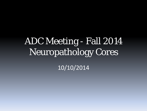# ADC Meeting - Fall 2014 Neuropathology Cores

10/10/2014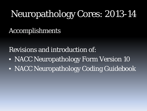## Neuropathology Cores: 2013-14

#### Accomplishments

Revisions and introduction of:

- NACC Neuropathology Form Version 10
- NACC Neuropathology Coding Guidebook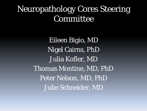### Neuropathology Cores Steering Committee

Eileen Bigio, MD Nigel Cairns, PhD Julia Kofler, MD Thomas Montine, MD, PhD Peter Nelson, MD, PhD Julie Schneider, MD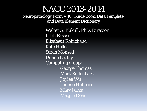#### NACC 2013-2014

Neuropathology Form V 10, Guide Book, Data Template, and Data Element Dictionary

> Walter A. Kukull, PhD, Director Lilah Besser Elizabeth Robichaud Kate Heller Sarah Monsell Duane Beekly Computing group: George Thomas Mark Bollenback Joylee Wu Janene Hubbard Mary Jacka Maggie Dean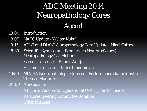## ADC Meeting 2014 Neuropathology Cores Agenda

- 18:00 Introduction
- 18:05 NACC Update Walter Kukull
- 18:15 ADNI and DIAN Neuropathology Core Update Nigel Cairns
- 18:30 Scientific Symposium: Biomarker (Neuroradiology) -Neuropathology Correlations Vascular diseases - Randy Woltjer Alzheimer disease – Milos Ikonomovic
- 19:30 NIA-AA Neuropathologic Criteria Performance characteristics Thomas Montine
- 20:00 New business:

NP Form Version 10. Operational Q/A – Julie Schneider NP Cores Steering Committee Rotation **Other business**